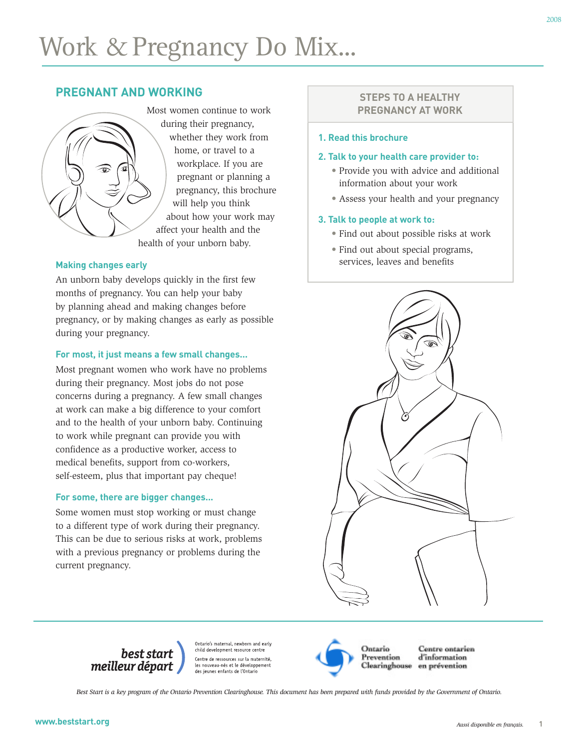# **PREGNANT AND WORKING**



## **Making changes early**

An unborn baby develops quickly in the first few months of pregnancy. You can help your baby by planning ahead and making changes before pregnancy, or by making changes as early as possible during your pregnancy.

## **For most, it just means a few small changes...**

Most pregnant women who work have no problems during their pregnancy. Most jobs do not pose concerns during a pregnancy. A few small changes at work can make a big difference to your comfort and to the health of your unborn baby. Continuing to work while pregnant can provide you with confidence as a productive worker, access to medical benefits, support from co-workers, self-esteem, plus that important pay cheque!

## **For some, there are bigger changes...**

Some women must stop working or must change to a different type of work during their pregnancy. This can be due to serious risks at work, problems with a previous pregnancy or problems during the current pregnancy.

# **STEPS TO A HEALTHY PREGNANCY AT WORK**

#### **1. Read this brochure**

#### **2. Talk to your health care provider to:**

- Provide you with advice and additional information about your work
- Assess your health and your pregnancy

### **3. Talk to people at work to:**

- Find out about possible risks at work
- Find out about special programs, services, leaves and benefits



best start<br>meilleur départ

Ontario's maternal, newborn and early child development resource centre Centre de ressources sur la maternité, les nouveau-nés et le développement des jeunes enfants de l'Ontario



Centre ontarien d'information en prévention

*Best Start is a key program of the Ontario Prevention Clearinghouse. This document has been prepared with funds provided by the Government of Ontario.*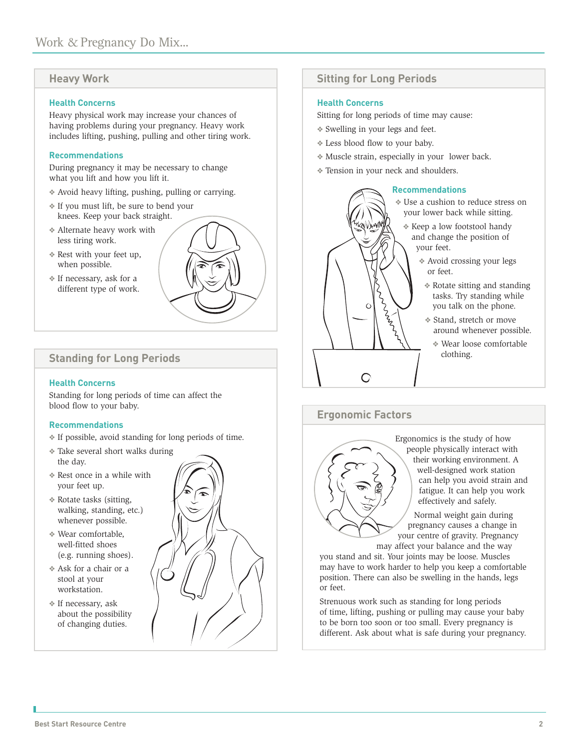# **Heavy Work**

#### **Health Concerns**

Heavy physical work may increase your chances of having problems during your pregnancy. Heavy work includes lifting, pushing, pulling and other tiring work.

#### **Recommendations**

During pregnancy it may be necessary to change what you lift and how you lift it.

- ❖ Avoid heavy lifting, pushing, pulling or carrying.
- ❖ If you must lift, be sure to bend your knees. Keep your back straight.
- ❖ Alternate heavy work with less tiring work.
- ❖ Rest with your feet up, when possible.
- ❖ If necessary, ask for a different type of work.



# **Standing for Long Periods**

#### **Health Concerns**

Standing for long periods of time can affect the blood flow to your baby.

#### **Recommendations**

- ❖ If possible, avoid standing for long periods of time.
- ❖ Take several short walks during the day.
- ❖ Rest once in a while with your feet up.
- ❖ Rotate tasks (sitting, walking, standing, etc.) whenever possible.
- ❖ Wear comfortable, well-fitted shoes (e.g. running shoes).
- ❖ Ask for a chair or a stool at your workstation.
- ❖ If necessary, ask about the possibility of changing duties.



# **Sitting for Long Periods**

### **Health Concerns**

Sitting for long periods of time may cause:

- ❖ Swelling in your legs and feet.
- ❖ Less blood flow to your baby.

KNVIANN

Ċ

- ❖ Muscle strain, especially in your lower back.
- ❖ Tension in your neck and shoulders.

L<br>L<br>L<br>L<br>L

#### **Recommendations**

❖ Use a cushion to reduce stress on your lower back while sitting.

- ❖ Keep a low footstool handy and change the position of your feet.
	- ❖ Avoid crossing your legs or feet.
	- ❖ Rotate sitting and standing tasks. Try standing while you talk on the phone.
	- ❖ Stand, stretch or move around whenever possible.
		- ❖ Wear loose comfortable clothing.

# **Ergonomic Factors**

C



Ergonomics is the study of how people physically interact with their working environment. A well-designed work station can help you avoid strain and fatigue. It can help you work effectively and safely.

Normal weight gain during pregnancy causes a change in your centre of gravity. Pregnancy may affect your balance and the way

you stand and sit. Your joints may be loose. Muscles may have to work harder to help you keep a comfortable position. There can also be swelling in the hands, legs or feet.

Strenuous work such as standing for long periods of time, lifting, pushing or pulling may cause your baby to be born too soon or too small. Every pregnancy is different. Ask about what is safe during your pregnancy.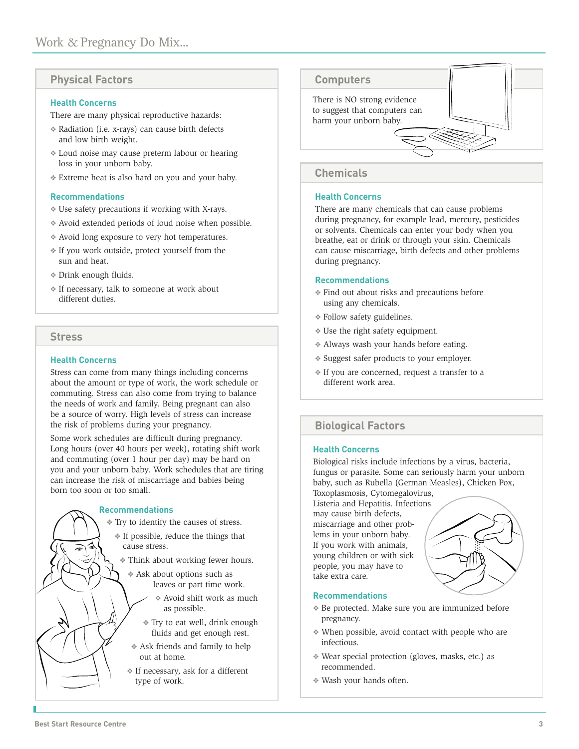## **Physical Factors**

#### **Health Concerns**

There are many physical reproductive hazards:

- ❖ Radiation (i.e. x-rays) can cause birth defects and low birth weight.
- ❖ Loud noise may cause preterm labour or hearing loss in your unborn baby.
- ❖ Extreme heat is also hard on you and your baby.

#### **Recommendations**

- ❖ Use safety precautions if working with X-rays.
- ❖ Avoid extended periods of loud noise when possible.
- ❖ Avoid long exposure to very hot temperatures.
- ❖ If you work outside, protect yourself from the sun and heat.
- ❖ Drink enough fluids.
- ❖ If necessary, talk to someone at work about different duties.

## **Stress**

#### **Health Concerns**

Stress can come from many things including concerns about the amount or type of work, the work schedule or commuting. Stress can also come from trying to balance the needs of work and family. Being pregnant can also be a source of worry. High levels of stress can increase the risk of problems during your pregnancy.

Some work schedules are difficult during pregnancy. Long hours (over 40 hours per week), rotating shift work and commuting (over 1 hour per day) may be hard on you and your unborn baby. Work schedules that are tiring can increase the risk of miscarriage and babies being born too soon or too small.

#### **Recommendations**

- ❖ Try to identify the causes of stress.
	- ❖ If possible, reduce the things that cause stress.
	- ❖ Think about working fewer hours.
		- ❖ Ask about options such as leaves or part time work.
			- ❖ Avoid shift work as much as possible.
			- ❖ Try to eat well, drink enough fluids and get enough rest.
		- ❖ Ask friends and family to help out at home.
		- ❖ If necessary, ask for a different type of work.

# **Computers**

There is NO strong evidence to suggest that computers can harm your unborn baby.

# **Chemicals**

#### **Health Concerns**

There are many chemicals that can cause problems during pregnancy, for example lead, mercury, pesticides or solvents. Chemicals can enter your body when you breathe, eat or drink or through your skin. Chemicals can cause miscarriage, birth defects and other problems during pregnancy.

#### **Recommendations**

- ❖ Find out about risks and precautions before using any chemicals.
- ❖ Follow safety guidelines.
- ❖ Use the right safety equipment.
- ❖ Always wash your hands before eating.
- ❖ Suggest safer products to your employer.
- ❖ If you are concerned, request a transfer to a different work area.

# **Biological Factors**

#### **Health Concerns**

Biological risks include infections by a virus, bacteria, fungus or parasite. Some can seriously harm your unborn baby, such as Rubella (German Measles), Chicken Pox, Toxoplasmosis, Cytomegalovirus,

Listeria and Hepatitis. Infections may cause birth defects, miscarriage and other problems in your unborn baby. If you work with animals, young children or with sick people, you may have to take extra care.



#### **Recommendations**

- ❖ Be protected. Make sure you are immunized before pregnancy.
- ❖ When possible, avoid contact with people who are infectious.
- ❖ Wear special protection (gloves, masks, etc.) as recommended.
- ❖ Wash your hands often.